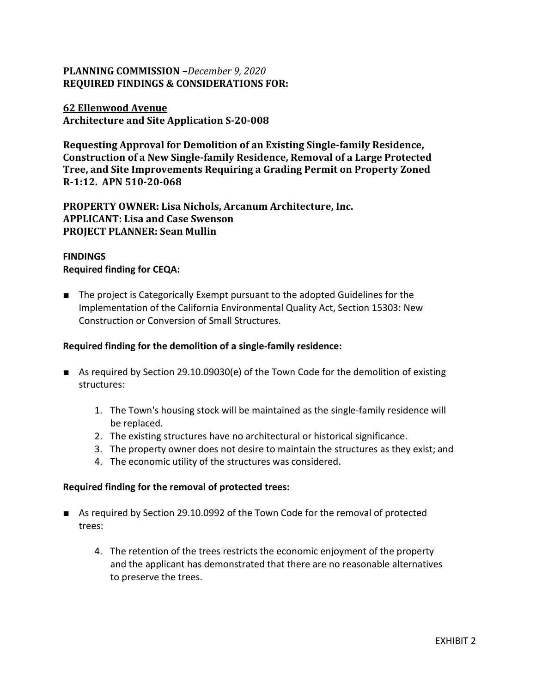# **PLANNING COMMISSION –***December 9, 2020* **REQUIRED FINDINGS & CONSIDERATIONS FOR:**

## **62 Ellenwood Avenue Architecture and Site Application S-20-008**

**Requesting Approval for Demolition of an Existing Single-family Residence, Construction of a New Single-family Residence, Removal of a Large Protected Tree, and Site Improvements Requiring a Grading Permit on Property Zoned R-1:12. APN 510-20-068**

**PROPERTY OWNER: Lisa Nichols, Arcanum Architecture, Inc. APPLICANT: Lisa and Case Swenson PROJECT PLANNER: Sean Mullin**

## **FINDINGS Required finding for CEQA:**

■ The project is Categorically Exempt pursuant to the adopted Guidelines for the Implementation of the California Environmental Quality Act, Section 15303: New Construction or Conversion of Small Structures.

### **Required finding for the demolition of a single-family residence:**

- As required by Section 29.10.09030(e) of the Town Code for the demolition of existing structures:
	- 1. The Town's housing stock will be maintained as the single-family residence will be replaced.
	- 2. The existing structures have no architectural or historical significance.
	- 3. The property owner does not desire to maintain the structures as they exist; and
	- 4. The economic utility of the structures was considered.

#### **Required finding for the removal of protected trees:**

- As required by Section 29.10.0992 of the Town Code for the removal of protected trees:
	- 4. The retention of the trees restricts the economic enjoyment of the property and the applicant has demonstrated that there are no reasonable alternatives to preserve the trees.